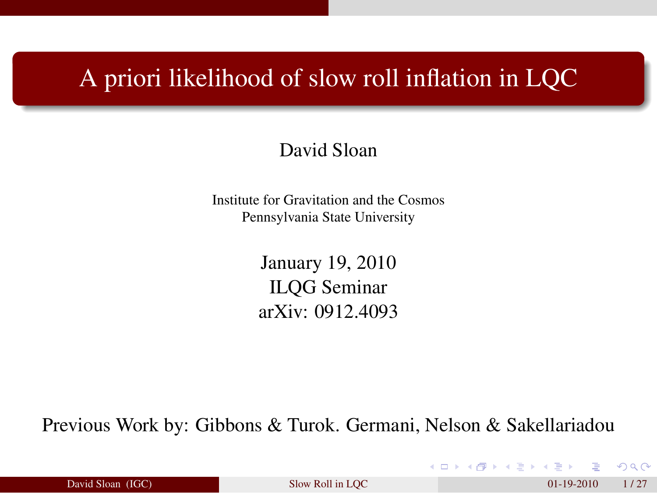#### A priori likelihood of slow roll inflation in LQC

#### David Sloan

Institute for Gravitation and the Cosmos Pennsylvania State University

> January 19, 2010 ILQG Seminar arXiv: 0912.4093

Previous Work by: Gibbons & Turok. Germani, Nelson & Sakellariadou

| David Sloan (IGC) |  |
|-------------------|--|
|                   |  |

David Sloan (IGC) [Slow Roll in LQC](#page-26-0) 01-19-2010 1/27

<span id="page-0-0"></span> $\Omega$ 

K ロ K K 御 K K 君 K K 君 K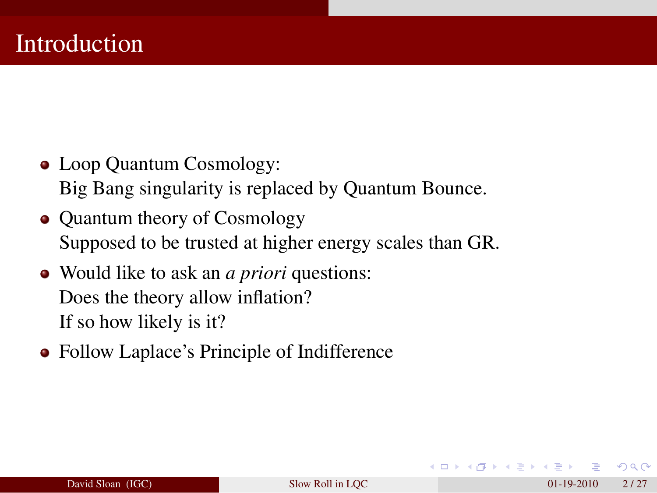- Loop Quantum Cosmology: Big Bang singularity is replaced by Quantum Bounce.
- Quantum theory of Cosmology Supposed to be trusted at higher energy scales than GR.
- Would like to ask an *a priori* questions: Does the theory allow inflation? If so how likely is it?
- Follow Laplace's Principle of Indifference

 $\Omega$ 

 $A \equiv \mathbb{R} \times A \equiv \mathbb{R}$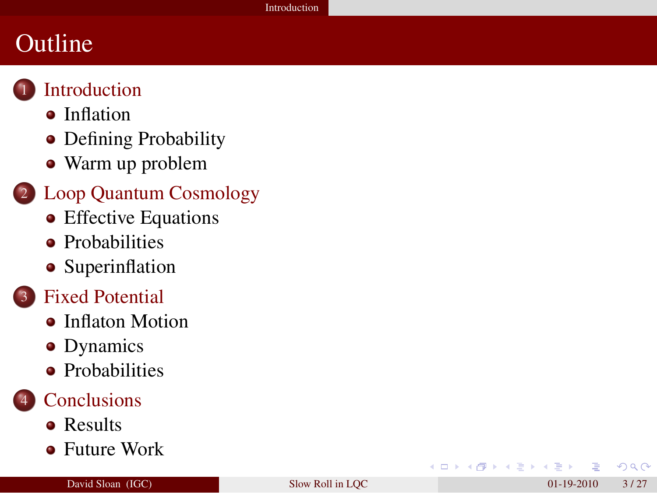### **Outline**



#### **[Introduction](#page-2-0)**

- [Inflation](#page-3-0)
- [Defining Probability](#page-4-0)
- [Warm up problem](#page-6-0)

#### 2 [Loop Quantum Cosmology](#page-10-0)

- [Effective Equations](#page-10-0)
- ò. [Probabilities](#page-13-0)
- [Superinflation](#page-15-0)
- **[Fixed Potential](#page-17-0)** 
	- **[Inflaton Motion](#page-17-0)**
	- [Dynamics](#page-18-0)
	- **•** [Probabilities](#page-23-0)

#### **[Conclusions](#page-25-0)**

- [Results](#page-25-0)
- [Future Work](#page-26-0)

 $\leftarrow$ 

<span id="page-2-0"></span> $\Omega$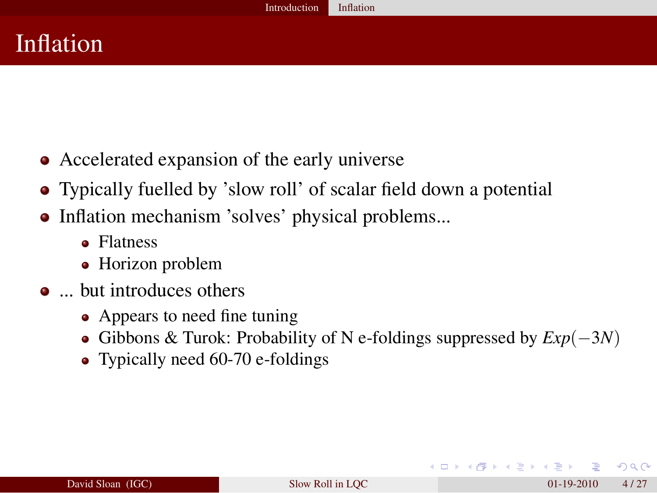#### Inflation

- Accelerated expansion of the early universe
- Typically fuelled by 'slow roll' of scalar field down a potential
- Inflation mechanism 'solves' physical problems...
	- Flatness
	- Horizon problem
- ... but introduces others
	- Appears to need fine tuning
	- Gibbons & Turok: Probability of N e-foldings suppressed by *Exp*(−3*N*)
	- Typically need 60-70 e-foldings

<span id="page-3-0"></span> $\Omega$ 

イロト イ押ト イヨト イヨト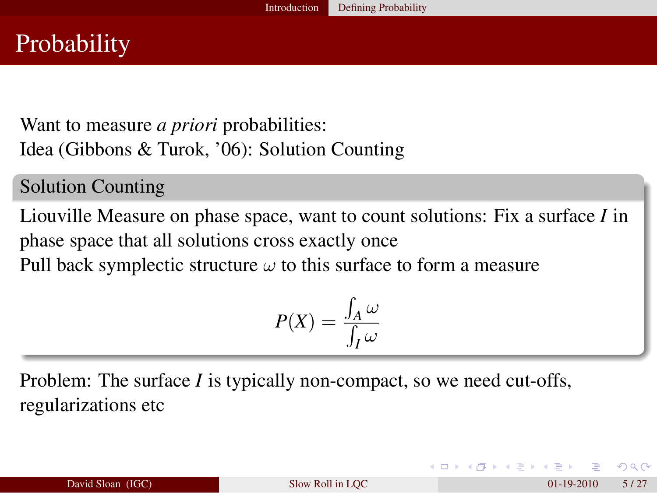Want to measure *a priori* probabilities: Idea (Gibbons & Turok, '06): Solution Counting

Solution Counting

Liouville Measure on phase space, want to count solutions: Fix a surface *I* in phase space that all solutions cross exactly once Pull back symplectic structure  $\omega$  to this surface to form a measure

$$
P(X) = \frac{\int_A \omega}{\int_I \omega}
$$

Problem: The surface *I* is typically non-compact, so we need cut-offs, regularizations etc

| David Sloan (IGC) | Slow Roll in LOC | 5/27<br>$01-19-2010$ |
|-------------------|------------------|----------------------|
|-------------------|------------------|----------------------|

<span id="page-4-0"></span> $\Omega$ 

イロト イ押ト イヨト イヨト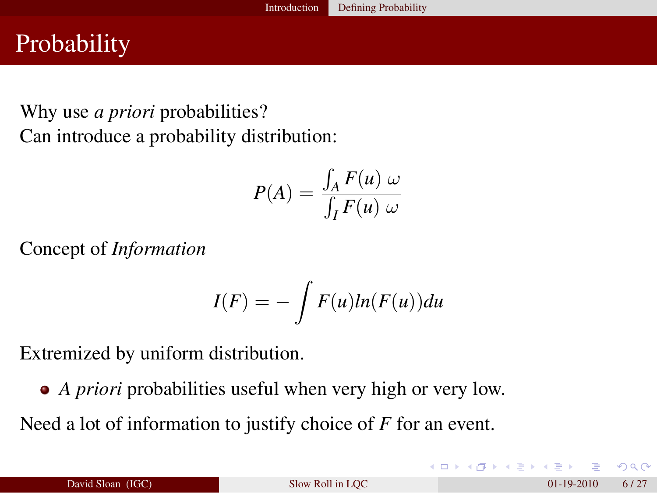## **Probability**

#### Why use *a priori* probabilities? Can introduce a probability distribution:

$$
P(A) = \frac{\int_A F(u) \omega}{\int_I F(u) \omega}
$$

Concept of *Information*

$$
I(F) = -\int F(u)ln(F(u))du
$$

Extremized by uniform distribution.

*A priori* probabilities useful when very high or very low.

Need a lot of information to justify choice of *F* for an event.

 $\Omega$ 

イロト イ押 トイヨ トイヨ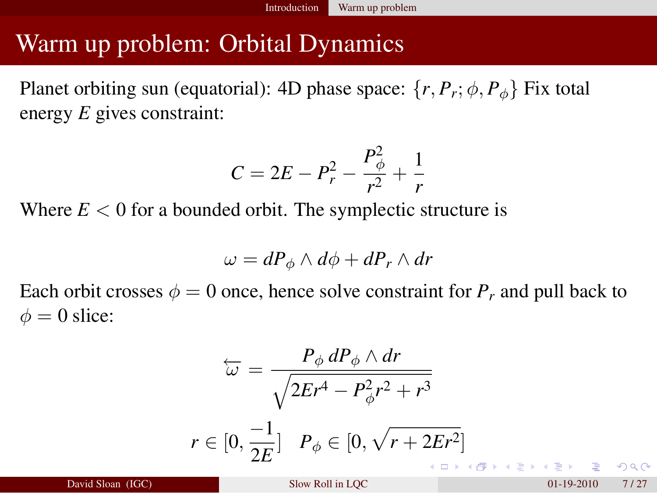Planet orbiting sun (equatorial): 4D phase space:  $\{r, P_r; \phi, P_\phi\}$  Fix total energy *E* gives constraint:

$$
C = 2E - P_r^2 - \frac{P_{\phi}^2}{r^2} + \frac{1}{r}
$$

Where  $E < 0$  for a bounded orbit. The symplectic structure is

$$
\omega = dP_{\phi} \wedge d\phi + dP_r \wedge dr
$$

Each orbit crosses  $\phi = 0$  once, hence solve constraint for  $P_r$  and pull back to  $\phi = 0$  slice:

<span id="page-6-0"></span>
$$
\overleftarrow{\omega} = \frac{P_{\phi} dP_{\phi} \wedge dr}{\sqrt{2Er^{4} - P_{\phi}^{2}r^{2} + r^{3}}}
$$
\n
$$
r \in [0, \frac{-1}{2E}] \quad P_{\phi} \in [0, \sqrt{r + 2Er^{2}}]
$$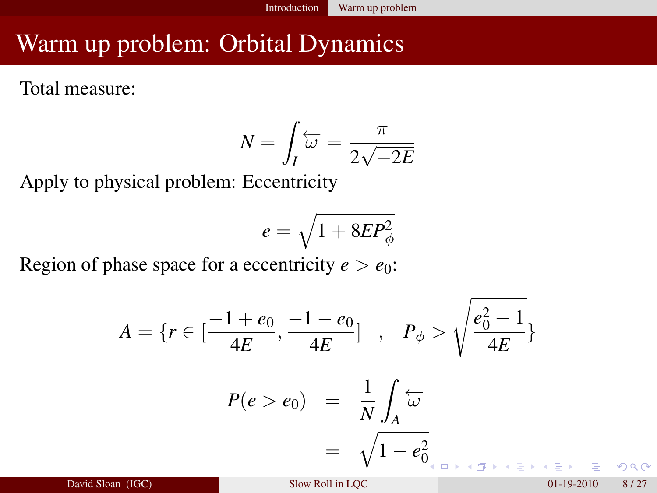Total measure:

$$
N = \int_I \overleftarrow{\omega} = \frac{\pi}{2\sqrt{-2E}}
$$

Apply to physical problem: Eccentricity

$$
e=\sqrt{1+8EP_\phi^2}
$$

Region of phase space for a eccentricity  $e > e_0$ :

$$
A = \{r \in \left[\frac{-1 + e_0}{4E}, \frac{-1 - e_0}{4E}\right] , \quad P_{\phi} > \sqrt{\frac{e_0^2 - 1}{4E}} \}
$$

$$
P(e > e_0) = \frac{1}{N} \int_A \overleftarrow{\omega}
$$

$$
= \sqrt{1 - e_0^2}
$$

David Sloan (IGC) Slow Roll in LOC 01-19-2010 8 / 27

 $\Omega$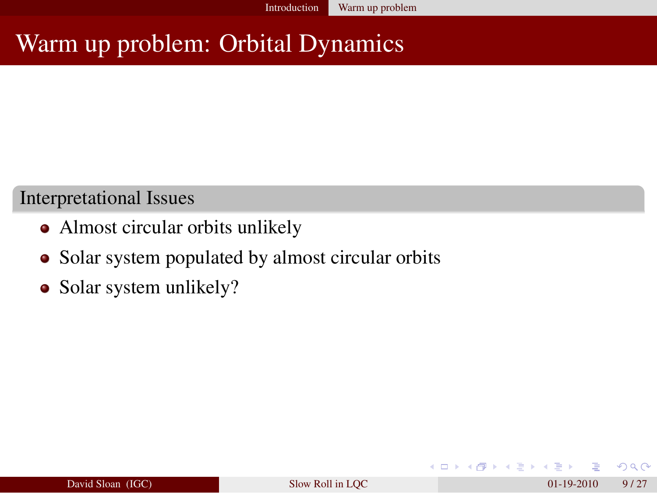#### Interpretational Issues

- Almost circular orbits unlikely
- Solar system populated by almost circular orbits
- Solar system unlikely?

4 0 8 4

 $\Omega$ 

イヨメ イヨメ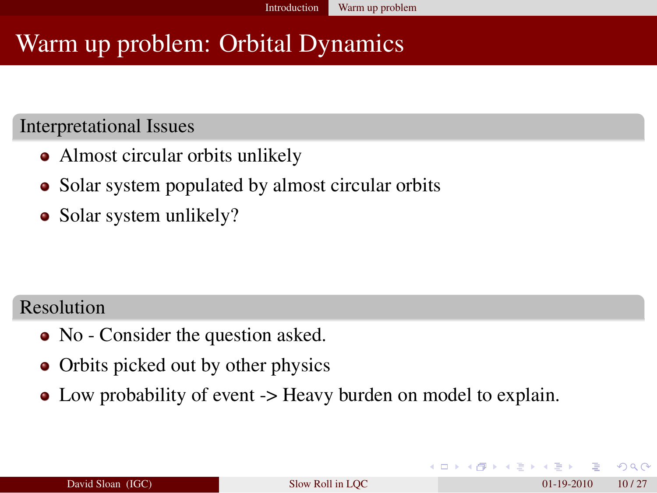#### Interpretational Issues

- Almost circular orbits unlikely
- Solar system populated by almost circular orbits
- Solar system unlikely?

#### Resolution

- No Consider the question asked.
- Orbits picked out by other physics
- Low probability of event -> Heavy burden on model to explain.

 $\Omega$ 

 $\triangleright$  4  $\equiv$   $\triangleright$  4  $\equiv$   $\triangleright$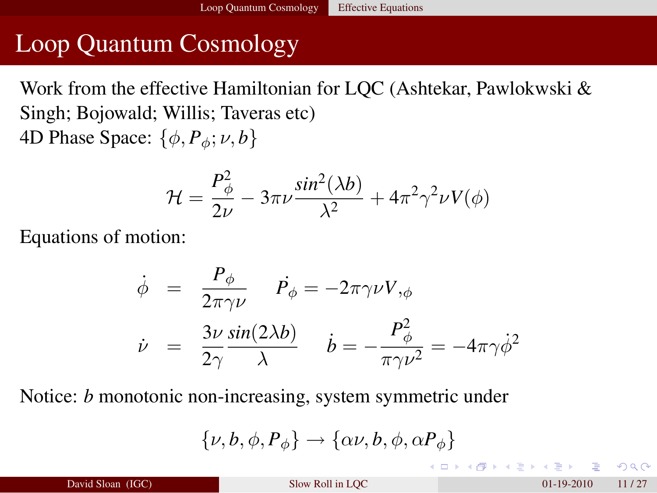## Loop Quantum Cosmology

Work from the effective Hamiltonian for LQC (Ashtekar, Pawlokwski & Singh; Bojowald; Willis; Taveras etc) 4D Phase Space:  $\{\phi, P_{\phi}; \nu, b\}$ 

$$
\mathcal{H} = \frac{P_{\phi}^2}{2\nu} - 3\pi\nu \frac{\sin^2(\lambda b)}{\lambda^2} + 4\pi^2 \gamma^2 \nu V(\phi)
$$

Equations of motion:

$$
\dot{\phi} = \frac{P_{\phi}}{2\pi\gamma\nu} \quad \dot{P}_{\phi} = -2\pi\gamma\nu V_{,\phi}
$$
\n
$$
\dot{\nu} = \frac{3\nu}{2\gamma} \frac{\sin(2\lambda b)}{\lambda} \quad \dot{b} = -\frac{P_{\phi}^2}{\pi\gamma\nu^2} = -4\pi\gamma\dot{\phi}^2
$$

Notice: *b* monotonic non-increasing, system symmetric under

$$
\{\nu,b,\phi,P_{\phi}\} \rightarrow \{\alpha\nu,b,\phi,\alpha P_{\phi}\}
$$

<span id="page-10-0"></span> $\Omega$ 

K ロ K K 個 K K ヨ K K ヨ K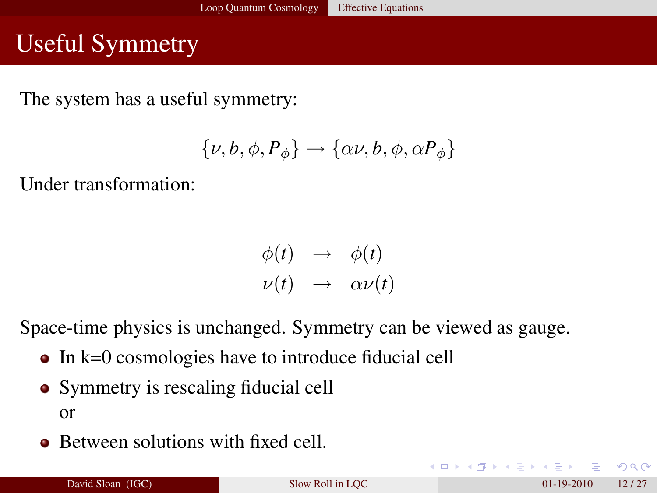## Useful Symmetry

The system has a useful symmetry:

$$
\{\nu,b,\phi,P_{\phi}\} \rightarrow \{\alpha\nu,b,\phi,\alpha P_{\phi}\}
$$

Under transformation:

$$
\begin{array}{rcl}\n\phi(t) & \rightarrow & \phi(t) \\
\nu(t) & \rightarrow & \alpha \nu(t)\n\end{array}
$$

Space-time physics is unchanged. Symmetry can be viewed as gauge.

- $\bullet$  In k=0 cosmologies have to introduce fiducial cell
- Symmetry is rescaling fiducial cell or
- Between solutions with fixed cell.

 $\Omega$ 

 $\mathbb{R}^d \times \mathbb{R}^d \to \mathbb{R}^d \times \mathbb{R}^d$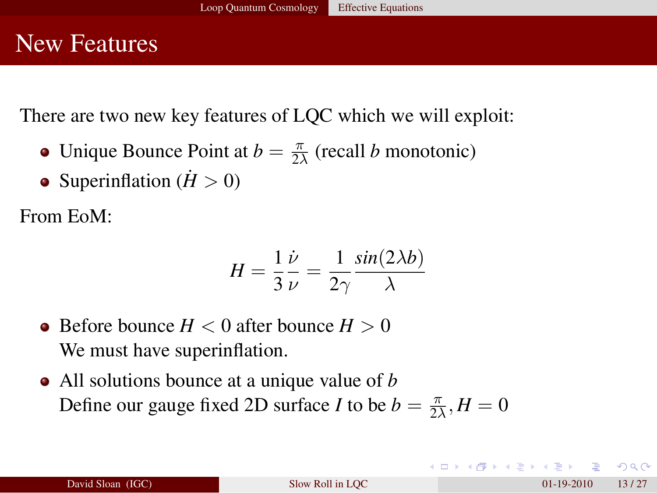#### New Features

There are two new key features of LQC which we will exploit:

- Unique Bounce Point at  $b = \frac{\pi}{2}$  $\frac{\pi}{2\lambda}$  (recall *b* monotonic)
- Superinflation  $(H > 0)$

From EoM:

$$
H = \frac{1}{3} \frac{\dot{\nu}}{\nu} = \frac{1}{2\gamma} \frac{\sin(2\lambda b)}{\lambda}
$$

- Before bounce  $H < 0$  after bounce  $H > 0$ We must have superinflation.
- All solutions bounce at a unique value of *b* Define our gauge fixed 2D surface *I* to be  $b = \frac{\pi}{2}$  $\frac{\pi}{2\lambda}, H = 0$

KO KARA KE KA EKARA E YA GA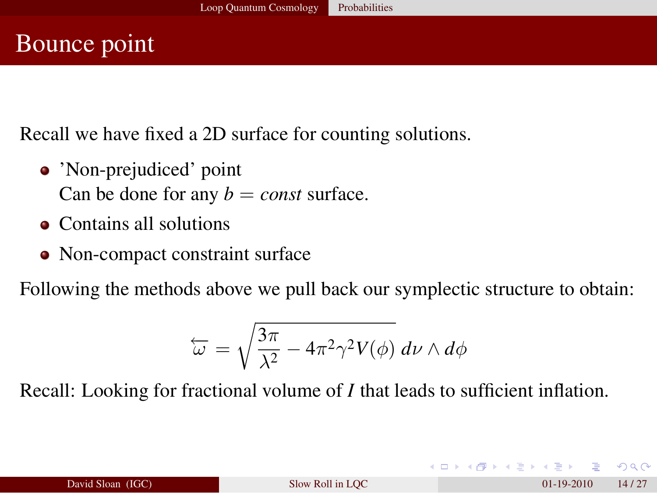#### Bounce point

Recall we have fixed a 2D surface for counting solutions.

- 'Non-prejudiced' point Can be done for any  $b = const$  surface.
- Contains all solutions
- Non-compact constraint surface

Following the methods above we pull back our symplectic structure to obtain:

$$
\overleftarrow{\omega} = \sqrt{\frac{3\pi}{\lambda^2} - 4\pi^2\gamma^2 V(\phi)} \, d\nu \wedge d\phi
$$

Recall: Looking for fractional volume of *I* that leads to sufficient inflation.

<span id="page-13-0"></span> $\Omega$ 

 $A \equiv \begin{pmatrix} 1 & 0 & 0 \\ 0 & 0 & 0 \\ 0 & 0 & 0 \\ 0 & 0 & 0 \\ 0 & 0 & 0 \\ 0 & 0 & 0 \\ 0 & 0 & 0 \\ 0 & 0 & 0 \\ 0 & 0 & 0 & 0 \\ 0 & 0 & 0 & 0 \\ 0 & 0 & 0 & 0 \\ 0 & 0 & 0 & 0 \\ 0 & 0 & 0 & 0 & 0 \\ 0 & 0 & 0 & 0 & 0 \\ 0 & 0 & 0 & 0 & 0 \\ 0 & 0 & 0 & 0 & 0 & 0 \\ 0 & 0 & 0 & 0 & 0 & 0 \\ 0 & 0 & 0 &$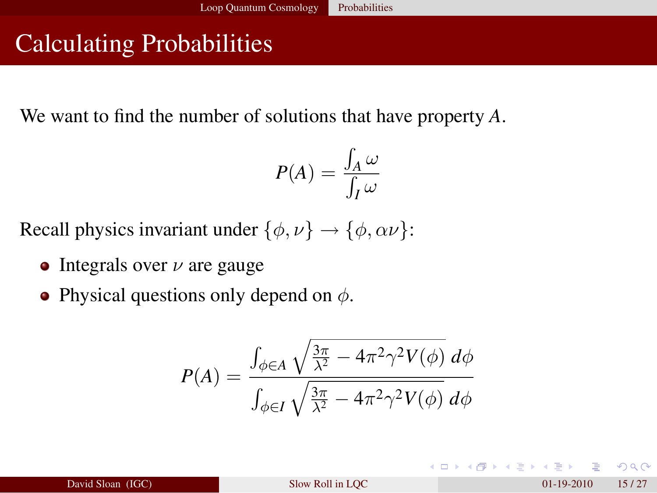# Calculating Probabilities

We want to find the number of solutions that have property *A*.

$$
P(A) = \frac{\int_A \omega}{\int_I \omega}
$$

Recall physics invariant under  $\{\phi, \nu\} \rightarrow \{\phi, \alpha\nu\}$ :

- Integrals over  $\nu$  are gauge
- Physical questions only depend on  $\phi$ .

$$
P(A) = \frac{\int_{\phi \in A} \sqrt{\frac{3\pi}{\lambda^2} - 4\pi^2 \gamma^2 V(\phi)} d\phi}{\int_{\phi \in I} \sqrt{\frac{3\pi}{\lambda^2} - 4\pi^2 \gamma^2 V(\phi)} d\phi}
$$

 $\Omega$ 

イロトメ 倒す メミトメモ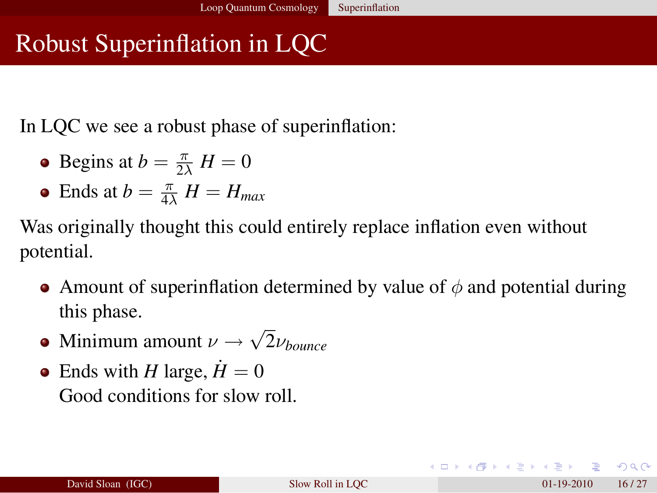## Robust Superinflation in LQC

In LQC we see a robust phase of superinflation:

- Begins at  $b = \frac{\pi}{2\lambda} H = 0$
- Ends at  $b = \frac{\pi}{4\lambda} H = H_{max}$

Was originally thought this could entirely replace inflation even without potential.

- Amount of superinflation determined by value of  $\phi$  and potential during this phase.
- Minimum amount  $\nu \rightarrow$ √ 2ν*bounce*
- Ends with *H* large,  $\dot{H} = 0$ Good conditions for slow roll.

<span id="page-15-0"></span>**KOD KARD KED KE DA GARA**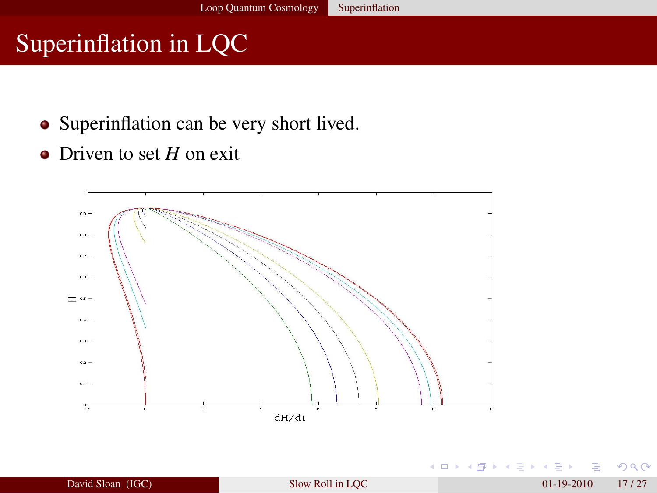## Superinflation in LQC

- Superinflation can be very short lived.
- Driven to set *H* on exit



4 D F

ЭÞ.

 $299$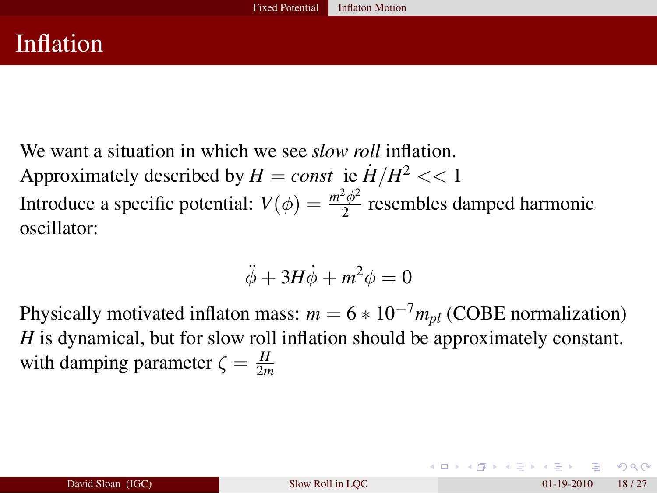We want a situation in which we see *slow roll* inflation. Approximately described by  $H = const$  ie  $\dot{H}/H^2 << 1$ Introduce a specific potential:  $V(\phi) = \frac{m^2 \phi^2}{2}$  $\frac{\varphi}{2}$  resembles damped harmonic oscillator:

$$
\ddot{\phi} + 3H\dot{\phi} + m^2\phi = 0
$$

Physically motivated inflaton mass:  $m = 6 * 10^{-7} m_{pl}$  (COBE normalization) *H* is dynamical, but for slow roll inflation should be approximately constant. with damping parameter  $\zeta = \frac{H}{2m}$ 2*m*

<span id="page-17-0"></span> $\Omega$ 

イロト イ押 トイヨ トイヨ ト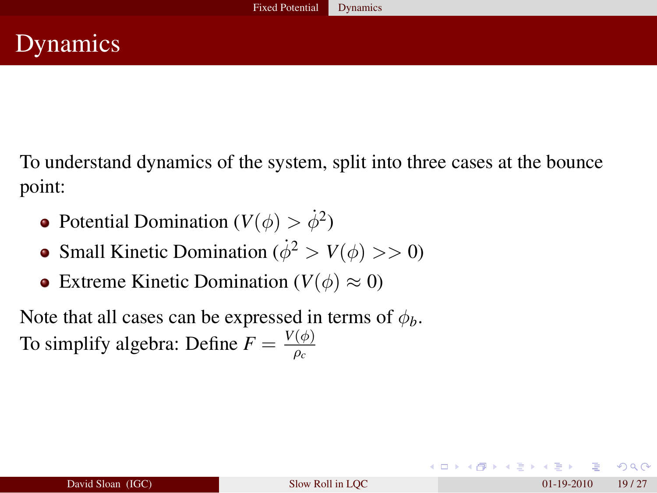To understand dynamics of the system, split into three cases at the bounce point:

- Potential Domination ( $V(\phi) > \dot{\phi}^2$ )
- Small Kinetic Domination ( $\dot{\phi}^2 > V(\phi) >> 0$ )
- Extreme Kinetic Domination  $(V(\phi) \approx 0)$

Note that all cases can be expressed in terms of  $\phi_b$ . To simplify algebra: Define  $F = \frac{V(\phi)}{g}$ ρ*c*

<span id="page-18-0"></span> $\Omega$ 

イロト イ押 トイヨ トイヨト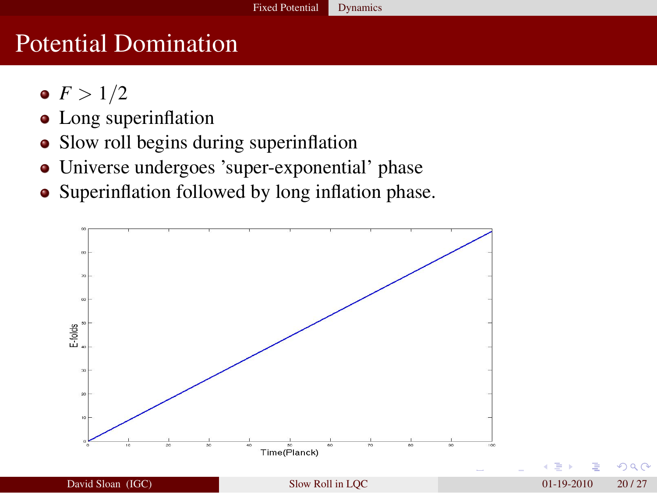## Potential Domination

- $F > 1/2$
- Long superinflation
- Slow roll begins during superinflation
- Universe undergoes 'super-exponential' phase
- Superinflation followed by long inflation phase.



 $\Omega$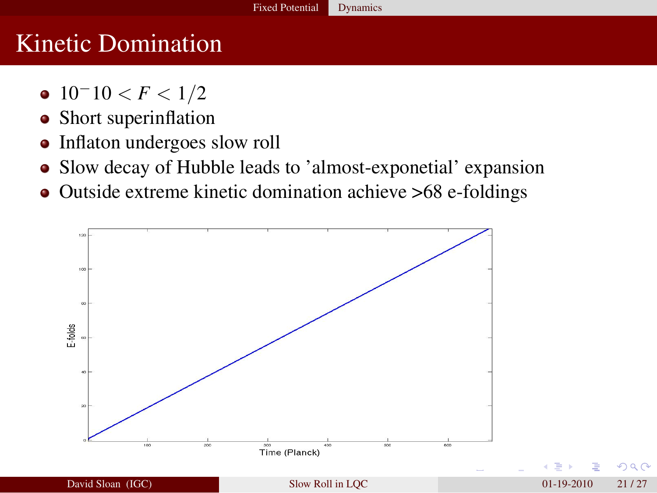## Kinetic Domination

- $\bullet$  10<sup>-</sup>10 < *F* < 1/2
- Short superinflation
- Inflaton undergoes slow roll
- Slow decay of Hubble leads to 'almost-exponetial' expansion
- Outside extreme kinetic domination achieve >68 e-foldings



つへい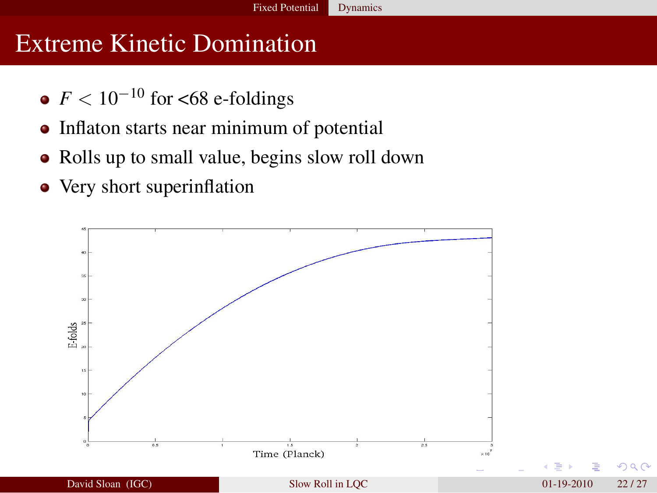#### Extreme Kinetic Domination

- $\bullet$  *F* < 10<sup>-10</sup> for <68 e-foldings
- Inflaton starts near minimum of potential
- Rolls up to small value, begins slow roll down
- Very short superinflation



 $\Omega$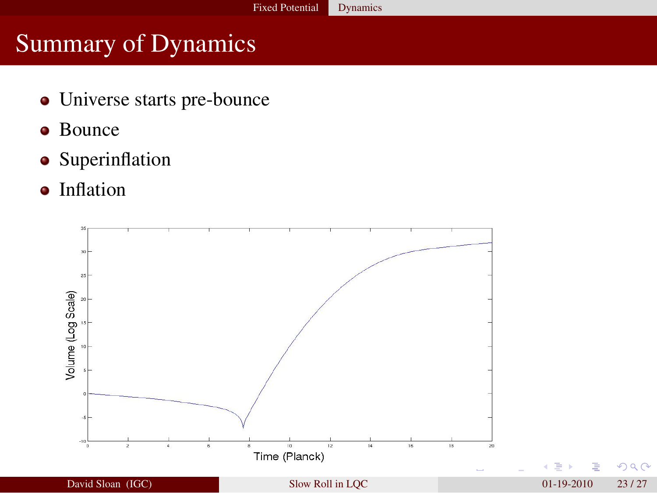## Summary of Dynamics

- Universe starts pre-bounce
- Bounce
- **•** Superinflation
- Inflation

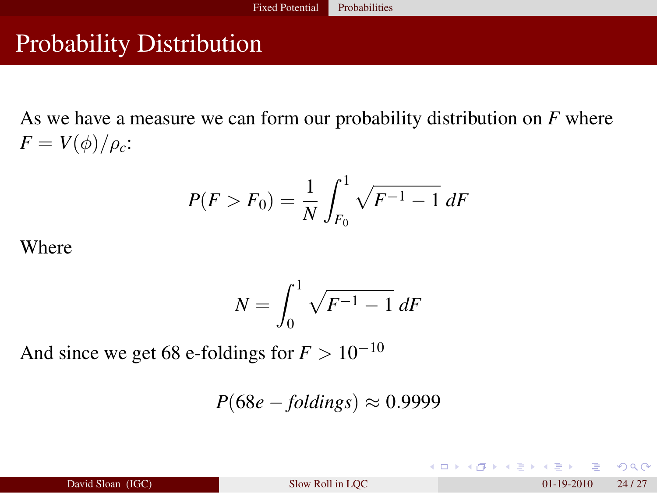### Probability Distribution

As we have a measure we can form our probability distribution on *F* where  $F = V(\phi)/\rho_c$ :

$$
P(F > F_0) = \frac{1}{N} \int_{F_0}^{1} \sqrt{F^{-1} - 1} \, dF
$$

Where

$$
N = \int_0^1 \sqrt{F^{-1} - 1} \, dF
$$

And since we get 68 e-foldings for  $F > 10^{-10}$ 

$$
P(68e - foldings) \approx 0.9999
$$

<span id="page-23-0"></span> $-209$ 

メロトメ 御 トメ ミトメ ミト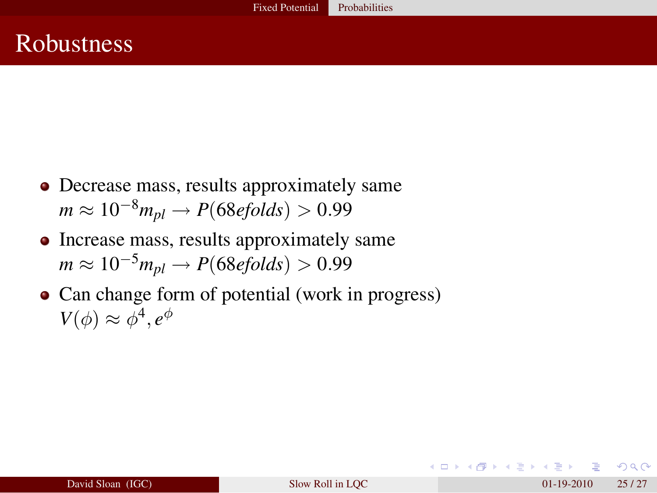#### **Robustness**

- Decrease mass, results approximately same  $m \approx 10^{-8} m_{pl} \rightarrow P(68 \text{e} \text{folds}) > 0.99$
- Increase mass, results approximately same  $m \approx 10^{-5} m_{pl} \rightarrow P(68 \text{efolds}) > 0.99$
- Can change form of potential (work in progress)  $V(\phi) \approx \phi^4, e^{\phi}$

 $209$ 

 $\mathbb{R}^n \times \mathbb{R}^n \xrightarrow{\sim} \mathbb{R}^n \times \mathbb{R}^n$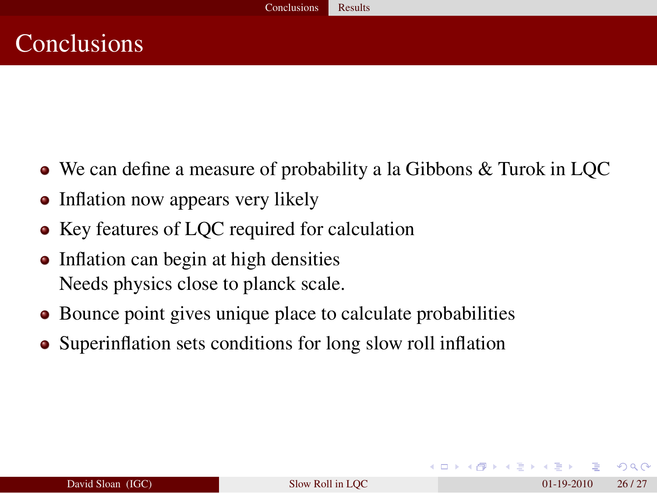### **Conclusions**

- We can define a measure of probability a la Gibbons & Turok in LQC
- Inflation now appears very likely
- Key features of LOC required for calculation
- Inflation can begin at high densities Needs physics close to planck scale.
- Bounce point gives unique place to calculate probabilities
- Superinflation sets conditions for long slow roll inflation

<span id="page-25-0"></span> $209$ 

 $\mathbb{R}^d \times \mathbb{R}^d \times \mathbb{R}^d \times \mathbb{R}^d \times \mathbb{R}^d$